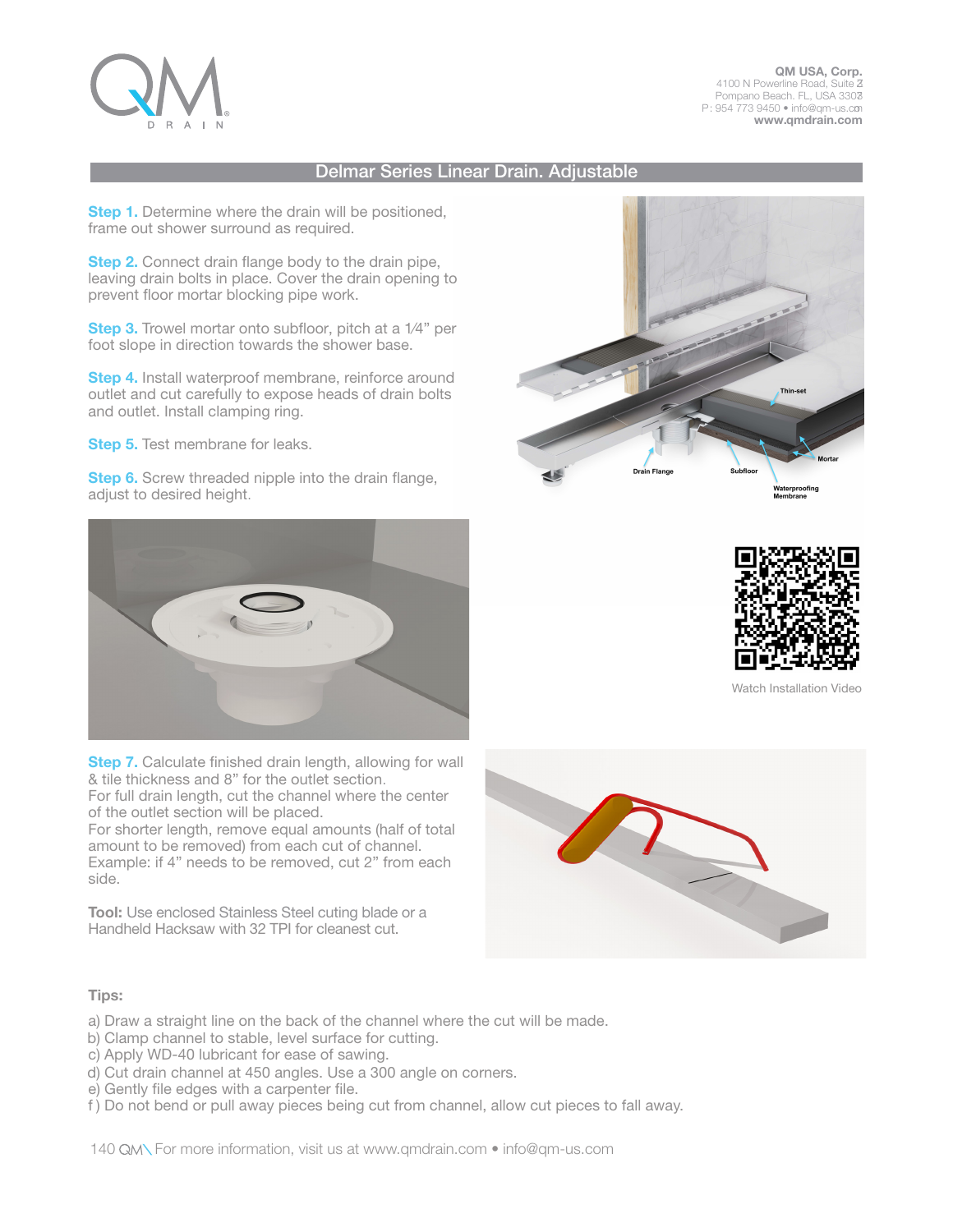

QM USA, Corp. 4100 N Powerline Road, Suite Z Pompano Beach. FL, USA 3303 P: 954 773 9450 • info@qm-us.com www.qmdrain.com

# Delmar Series Linear Drain. Adjustable

**Step 1.** Determine where the drain will be positioned, frame out shower surround as required.

**Step 2.** Connect drain flange body to the drain pipe, leaving drain bolts in place. Cover the drain opening to prevent floor mortar blocking pipe work.

Step 3. Trowel mortar onto subfloor, pitch at a 1/4" per foot slope in direction towards the shower base.

**Step 4.** Install waterproof membrane, reinforce around outlet and cut carefully to expose heads of drain bolts and outlet. Install clamping ring.

**Step 5.** Test membrane for leaks.

**Step 6.** Screw threaded nipple into the drain flange, adjust to desired height.



Step 7. Calculate finished drain length, allowing for wall & tile thickness and 8" for the outlet section. For full drain length, cut the channel where the center of the outlet section will be placed.

For shorter length, remove equal amounts (half of total amount to be removed) from each cut of channel. Example: if 4" needs to be removed, cut 2" from each side.

Tool: Use enclosed Stainless Steel cuting blade or a Handheld Hacksaw with 32 TPI for cleanest cut.







Watch Installation Video



## Tips:

- a) Draw a straight line on the back of the channel where the cut will be made.
- b) Clamp channel to stable, level surface for cutting.
- c) Apply WD-40 lubricant for ease of sawing.
- d) Cut drain channel at 450 angles. Use a 300 angle on corners.
- e) Gently file edges with a carpenter file.
- f ) Do not bend or pull away pieces being cut from channel, allow cut pieces to fall away.

140 GMN For more information, visit us at www.qmdrain.com • info@qm-us.com